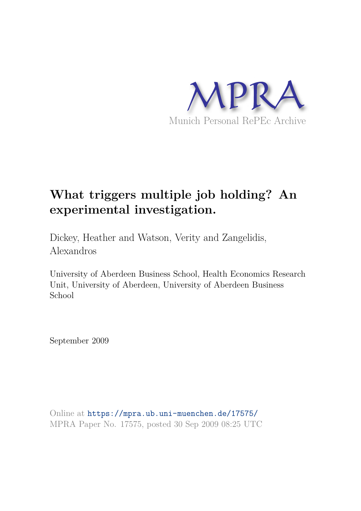

# **What triggers multiple job holding? An experimental investigation.**

Dickey, Heather and Watson, Verity and Zangelidis, Alexandros

University of Aberdeen Business School, Health Economics Research Unit, University of Aberdeen, University of Aberdeen Business School

September 2009

Online at https://mpra.ub.uni-muenchen.de/17575/ MPRA Paper No. 17575, posted 30 Sep 2009 08:25 UTC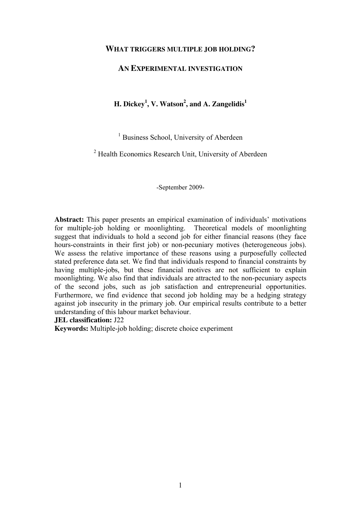#### **WHAT TRIGGERS MULTIPLE JOB HOLDING?**

### **AN EXPERIMENTAL INVESTIGATION**

## **H. Dickey<sup>1</sup> , V. Watson<sup>2</sup> , and A. Zangelidis<sup>1</sup>**

<sup>1</sup> Business School, University of Aberdeen

<sup>2</sup> Health Economics Research Unit, University of Aberdeen

-September 2009-

**Abstract:** This paper presents an empirical examination of individuals' motivations for multiple-job holding or moonlighting. Theoretical models of moonlighting suggest that individuals to hold a second job for either financial reasons (they face hours-constraints in their first job) or non-pecuniary motives (heterogeneous jobs). We assess the relative importance of these reasons using a purposefully collected stated preference data set. We find that individuals respond to financial constraints by having multiple-jobs, but these financial motives are not sufficient to explain moonlighting. We also find that individuals are attracted to the non-pecuniary aspects of the second jobs, such as job satisfaction and entrepreneurial opportunities. Furthermore, we find evidence that second job holding may be a hedging strategy against job insecurity in the primary job. Our empirical results contribute to a better understanding of this labour market behaviour.

#### **JEL classification:** J22

**Keywords:** Multiple-job holding; discrete choice experiment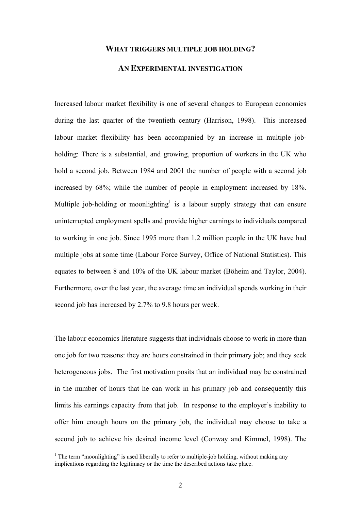#### **WHAT TRIGGERS MULTIPLE JOB HOLDING?**

#### **AN EXPERIMENTAL INVESTIGATION**

Increased labour market flexibility is one of several changes to European economies during the last quarter of the twentieth century (Harrison, 1998). This increased labour market flexibility has been accompanied by an increase in multiple jobholding: There is a substantial, and growing, proportion of workers in the UK who hold a second job. Between 1984 and 2001 the number of people with a second job increased by 68%; while the number of people in employment increased by 18%. Multiple job-holding or moonlighting<sup>1</sup> is a labour supply strategy that can ensure uninterrupted employment spells and provide higher earnings to individuals compared to working in one job. Since 1995 more than 1.2 million people in the UK have had multiple jobs at some time (Labour Force Survey, Office of National Statistics). This equates to between 8 and 10% of the UK labour market (Böheim and Taylor, 2004). Furthermore, over the last year, the average time an individual spends working in their second job has increased by 2.7% to 9.8 hours per week.

The labour economics literature suggests that individuals choose to work in more than one job for two reasons: they are hours constrained in their primary job; and they seek heterogeneous jobs. The first motivation posits that an individual may be constrained in the number of hours that he can work in his primary job and consequently this limits his earnings capacity from that job. In response to the employer's inability to offer him enough hours on the primary job, the individual may choose to take a second job to achieve his desired income level (Conway and Kimmel, 1998). The

<sup>&</sup>lt;sup>1</sup> The term "moonlighting" is used liberally to refer to multiple-job holding, without making any implications regarding the legitimacy or the time the described actions take place.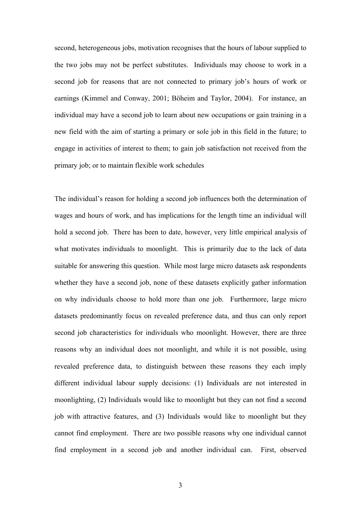second, heterogeneous jobs, motivation recognises that the hours of labour supplied to the two jobs may not be perfect substitutes. Individuals may choose to work in a second job for reasons that are not connected to primary job's hours of work or earnings (Kimmel and Conway, 2001; Böheim and Taylor, 2004). For instance, an individual may have a second job to learn about new occupations or gain training in a new field with the aim of starting a primary or sole job in this field in the future; to engage in activities of interest to them; to gain job satisfaction not received from the primary job; or to maintain flexible work schedules

The individual's reason for holding a second job influences both the determination of wages and hours of work, and has implications for the length time an individual will hold a second job. There has been to date, however, very little empirical analysis of what motivates individuals to moonlight. This is primarily due to the lack of data suitable for answering this question. While most large micro datasets ask respondents whether they have a second job, none of these datasets explicitly gather information on why individuals choose to hold more than one job. Furthermore, large micro datasets predominantly focus on revealed preference data, and thus can only report second job characteristics for individuals who moonlight. However, there are three reasons why an individual does not moonlight, and while it is not possible, using revealed preference data, to distinguish between these reasons they each imply different individual labour supply decisions: (1) Individuals are not interested in moonlighting, (2) Individuals would like to moonlight but they can not find a second job with attractive features, and (3) Individuals would like to moonlight but they cannot find employment. There are two possible reasons why one individual cannot find employment in a second job and another individual can. First, observed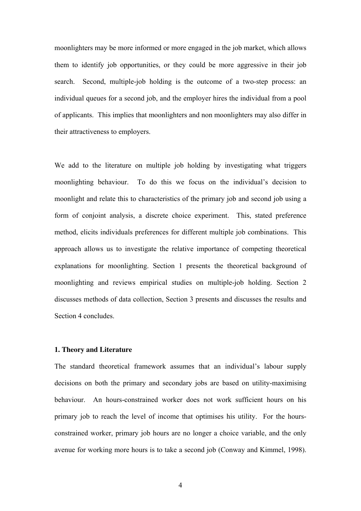moonlighters may be more informed or more engaged in the job market, which allows them to identify job opportunities, or they could be more aggressive in their job search. Second, multiple-job holding is the outcome of a two-step process: an individual queues for a second job, and the employer hires the individual from a pool of applicants. This implies that moonlighters and non moonlighters may also differ in their attractiveness to employers.

We add to the literature on multiple job holding by investigating what triggers moonlighting behaviour. To do this we focus on the individual's decision to moonlight and relate this to characteristics of the primary job and second job using a form of conjoint analysis, a discrete choice experiment. This, stated preference method, elicits individuals preferences for different multiple job combinations. This approach allows us to investigate the relative importance of competing theoretical explanations for moonlighting. Section 1 presents the theoretical background of moonlighting and reviews empirical studies on multiple-job holding. Section 2 discusses methods of data collection, Section 3 presents and discusses the results and Section 4 concludes.

#### **1. Theory and Literature**

The standard theoretical framework assumes that an individual's labour supply decisions on both the primary and secondary jobs are based on utility-maximising behaviour. An hours-constrained worker does not work sufficient hours on his primary job to reach the level of income that optimises his utility. For the hoursconstrained worker, primary job hours are no longer a choice variable, and the only avenue for working more hours is to take a second job (Conway and Kimmel, 1998).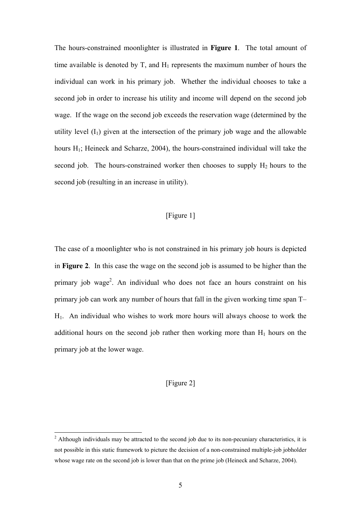The hours-constrained moonlighter is illustrated in **Figure 1**. The total amount of time available is denoted by  $T$ , and  $H_1$  represents the maximum number of hours the individual can work in his primary job. Whether the individual chooses to take a second job in order to increase his utility and income will depend on the second job wage. If the wage on the second job exceeds the reservation wage (determined by the utility level  $(I_1)$  given at the intersection of the primary job wage and the allowable hours  $H_1$ ; Heineck and Scharze, 2004), the hours-constrained individual will take the second job. The hours-constrained worker then chooses to supply  $H_2$  hours to the second job (resulting in an increase in utility).

## [Figure 1]

The case of a moonlighter who is not constrained in his primary job hours is depicted in **Figure 2**. In this case the wage on the second job is assumed to be higher than the primary job wage<sup>2</sup>. An individual who does not face an hours constraint on his primary job can work any number of hours that fall in the given working time span T– H1. An individual who wishes to work more hours will always choose to work the additional hours on the second job rather then working more than  $H_1$  hours on the primary job at the lower wage.

#### [Figure 2]

<sup>&</sup>lt;sup>2</sup> Although individuals may be attracted to the second job due to its non-pecuniary characteristics, it is not possible in this static framework to picture the decision of a non-constrained multiple-job jobholder whose wage rate on the second job is lower than that on the prime job (Heineck and Scharze, 2004).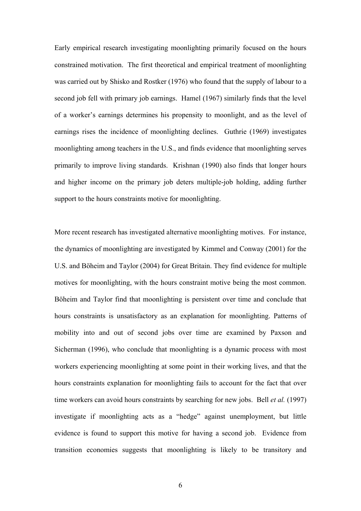Early empirical research investigating moonlighting primarily focused on the hours constrained motivation. The first theoretical and empirical treatment of moonlighting was carried out by Shisko and Rostker (1976) who found that the supply of labour to a second job fell with primary job earnings. Hamel (1967) similarly finds that the level of a worker's earnings determines his propensity to moonlight, and as the level of earnings rises the incidence of moonlighting declines. Guthrie (1969) investigates moonlighting among teachers in the U.S., and finds evidence that moonlighting serves primarily to improve living standards. Krishnan (1990) also finds that longer hours and higher income on the primary job deters multiple-job holding, adding further support to the hours constraints motive for moonlighting.

More recent research has investigated alternative moonlighting motives. For instance, the dynamics of moonlighting are investigated by Kimmel and Conway (2001) for the U.S. and Böheim and Taylor (2004) for Great Britain. They find evidence for multiple motives for moonlighting, with the hours constraint motive being the most common. Böheim and Taylor find that moonlighting is persistent over time and conclude that hours constraints is unsatisfactory as an explanation for moonlighting. Patterns of mobility into and out of second jobs over time are examined by Paxson and Sicherman (1996), who conclude that moonlighting is a dynamic process with most workers experiencing moonlighting at some point in their working lives, and that the hours constraints explanation for moonlighting fails to account for the fact that over time workers can avoid hours constraints by searching for new jobs. Bell *et al.* (1997) investigate if moonlighting acts as a "hedge" against unemployment, but little evidence is found to support this motive for having a second job. Evidence from transition economies suggests that moonlighting is likely to be transitory and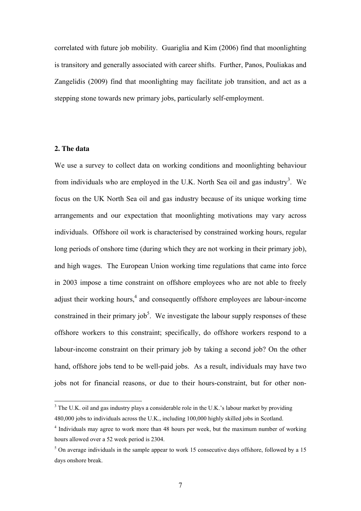correlated with future job mobility. Guariglia and Kim (2006) find that moonlighting is transitory and generally associated with career shifts. Further, Panos, Pouliakas and Zangelidis (2009) find that moonlighting may facilitate job transition, and act as a stepping stone towards new primary jobs, particularly self-employment.

#### **2. The data**

 $\overline{a}$ 

We use a survey to collect data on working conditions and moonlighting behaviour from individuals who are employed in the U.K. North Sea oil and gas industry<sup>3</sup>. We focus on the UK North Sea oil and gas industry because of its unique working time arrangements and our expectation that moonlighting motivations may vary across individuals. Offshore oil work is characterised by constrained working hours, regular long periods of onshore time (during which they are not working in their primary job), and high wages. The European Union working time regulations that came into force in 2003 impose a time constraint on offshore employees who are not able to freely adjust their working hours,<sup>4</sup> and consequently offshore employees are labour-income constrained in their primary job<sup>5</sup>. We investigate the labour supply responses of these offshore workers to this constraint; specifically, do offshore workers respond to a labour-income constraint on their primary job by taking a second job? On the other hand, offshore jobs tend to be well-paid jobs. As a result, individuals may have two jobs not for financial reasons, or due to their hours-constraint, but for other non-

 $3$  The U.K. oil and gas industry plays a considerable role in the U.K.'s labour market by providing 480,000 jobs to individuals across the U.K., including 100,000 highly skilled jobs in Scotland.

<sup>&</sup>lt;sup>4</sup> Individuals may agree to work more than 48 hours per week, but the maximum number of working hours allowed over a 52 week period is 2304.

<sup>&</sup>lt;sup>5</sup> On average individuals in the sample appear to work 15 consecutive days offshore, followed by a 15 days onshore break.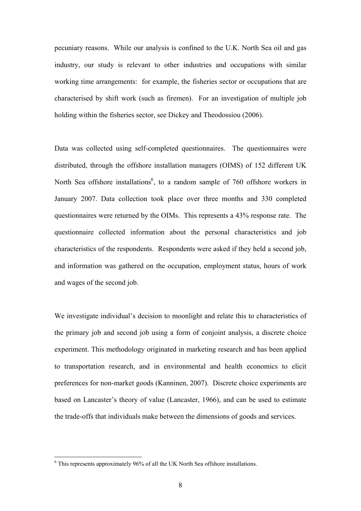pecuniary reasons. While our analysis is confined to the U.K. North Sea oil and gas industry, our study is relevant to other industries and occupations with similar working time arrangements: for example, the fisheries sector or occupations that are characterised by shift work (such as firemen). For an investigation of multiple job holding within the fisheries sector, see Dickey and Theodossiou (2006).

Data was collected using self-completed questionnaires. The questionnaires were distributed, through the offshore installation managers (OIMS) of 152 different UK North Sea offshore installations<sup>6</sup>, to a random sample of 760 offshore workers in January 2007. Data collection took place over three months and 330 completed questionnaires were returned by the OIMs. This represents a 43% response rate. The questionnaire collected information about the personal characteristics and job characteristics of the respondents. Respondents were asked if they held a second job, and information was gathered on the occupation, employment status, hours of work and wages of the second job.

We investigate individual's decision to moonlight and relate this to characteristics of the primary job and second job using a form of conjoint analysis, a discrete choice experiment. This methodology originated in marketing research and has been applied to transportation research, and in environmental and health economics to elicit preferences for non-market goods (Kanninen, 2007). Discrete choice experiments are based on Lancaster's theory of value (Lancaster, 1966), and can be used to estimate the trade-offs that individuals make between the dimensions of goods and services.

 6 This represents approximately 96% of all the UK North Sea offshore installations.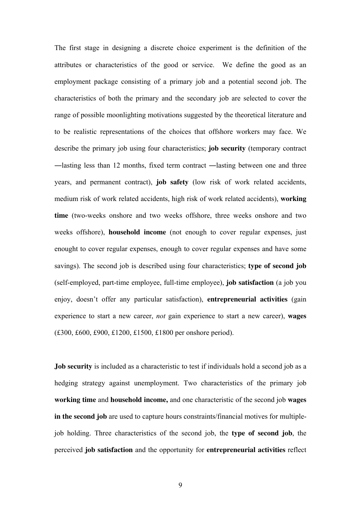The first stage in designing a discrete choice experiment is the definition of the attributes or characteristics of the good or service. We define the good as an employment package consisting of a primary job and a potential second job. The characteristics of both the primary and the secondary job are selected to cover the range of possible moonlighting motivations suggested by the theoretical literature and to be realistic representations of the choices that offshore workers may face. We describe the primary job using four characteristics; **job security** (temporary contract ―lasting less than 12 months, fixed term contract ―lasting between one and three years, and permanent contract), **job safety** (low risk of work related accidents, medium risk of work related accidents, high risk of work related accidents), **working time** (two-weeks onshore and two weeks offshore, three weeks onshore and two weeks offshore), **household income** (not enough to cover regular expenses, just enought to cover regular expenses, enough to cover regular expenses and have some savings). The second job is described using four characteristics; **type of second job**  (self-employed, part-time employee, full-time employee), **job satisfaction** (a job you enjoy, doesn't offer any particular satisfaction), **entrepreneurial activities** (gain experience to start a new career, *not* gain experience to start a new career), **wages**  (£300, £600, £900, £1200, £1500, £1800 per onshore period).

**Job security** is included as a characteristic to test if individuals hold a second job as a hedging strategy against unemployment. Two characteristics of the primary job **working time** and **household income,** and one characteristic of the second job **wages in the second job** are used to capture hours constraints/financial motives for multiplejob holding. Three characteristics of the second job, the **type of second job**, the perceived **job satisfaction** and the opportunity for **entrepreneurial activities** reflect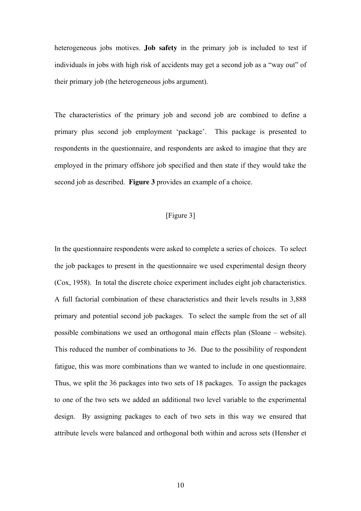heterogeneous jobs motives. **Job safety** in the primary job is included to test if individuals in jobs with high risk of accidents may get a second job as a "way out" of their primary job (the heterogeneous jobs argument).

The characteristics of the primary job and second job are combined to define a primary plus second job employment 'package'. This package is presented to respondents in the questionnaire, and respondents are asked to imagine that they are employed in the primary offshore job specified and then state if they would take the second job as described. **Figure 3** provides an example of a choice.

## [Figure 3]

In the questionnaire respondents were asked to complete a series of choices. To select the job packages to present in the questionnaire we used experimental design theory (Cox, 1958). In total the discrete choice experiment includes eight job characteristics. A full factorial combination of these characteristics and their levels results in 3,888 primary and potential second job packages. To select the sample from the set of all possible combinations we used an orthogonal main effects plan (Sloane – website). This reduced the number of combinations to 36. Due to the possibility of respondent fatigue, this was more combinations than we wanted to include in one questionnaire. Thus, we split the 36 packages into two sets of 18 packages. To assign the packages to one of the two sets we added an additional two level variable to the experimental design. By assigning packages to each of two sets in this way we ensured that attribute levels were balanced and orthogonal both within and across sets (Hensher et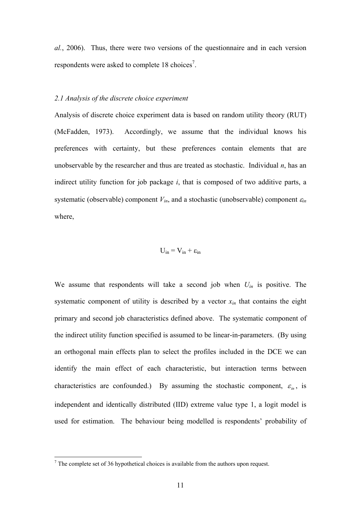*al.*, 2006). Thus, there were two versions of the questionnaire and in each version respondents were asked to complete  $18$  choices<sup>7</sup>.

#### *2.1 Analysis of the discrete choice experiment*

Analysis of discrete choice experiment data is based on random utility theory (RUT) (McFadden, 1973). Accordingly, we assume that the individual knows his preferences with certainty, but these preferences contain elements that are unobservable by the researcher and thus are treated as stochastic. Individual  $n$ , has an indirect utility function for job package *i*, that is composed of two additive parts, a systematic (observable) component  $V_{in}$ , and a stochastic (unobservable) component  $\varepsilon_{in}$ where

$$
U_{in}=V_{in}+\epsilon_{in}
$$

We assume that respondents will take a second job when *Uin* is positive. The systematic component of utility is described by a vector  $x_{in}$  that contains the eight primary and second job characteristics defined above. The systematic component of the indirect utility function specified is assumed to be linear-in-parameters. (By using an orthogonal main effects plan to select the profiles included in the DCE we can identify the main effect of each characteristic, but interaction terms between characteristics are confounded.) By assuming the stochastic component,  $\varepsilon_{in}$ , is independent and identically distributed (IID) extreme value type 1, a logit model is used for estimation. The behaviour being modelled is respondents' probability of

<sup>&</sup>lt;sup>7</sup> The complete set of 36 hypothetical choices is available from the authors upon request.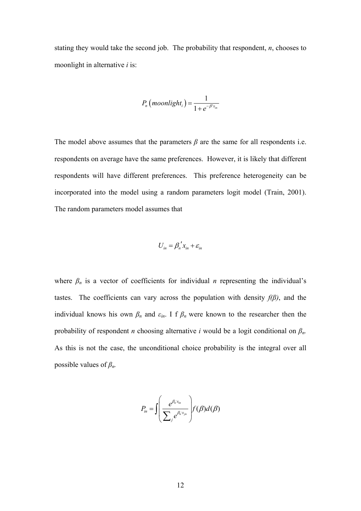stating they would take the second job. The probability that respondent, *n*, chooses to moonlight in alternative *i* is:

$$
P_n\left(moonlight_i\right) = \frac{1}{1+e^{-\beta' x_{in}}}
$$

The model above assumes that the parameters  $\beta$  are the same for all respondents i.e. respondents on average have the same preferences. However, it is likely that different respondents will have different preferences. This preference heterogeneity can be incorporated into the model using a random parameters logit model (Train, 2001). The random parameters model assumes that

$$
U_{in} = \beta_n' x_{in} + \varepsilon_{in}
$$

where  $\beta_n$  is a vector of coefficients for individual *n* representing the individual's tastes. The coefficients can vary across the population with density  $f(\beta)$ , and the individual knows his own  $\beta_n$  and  $\varepsilon_{in}$ . I f  $\beta_n$  were known to the researcher then the probability of respondent *n* choosing alternative *i* would be a logit conditional on *βn.*  As this is not the case, the unconditional choice probability is the integral over all possible values of *βn.* 

$$
P_{in} = \int \left(\frac{e^{\beta_n x_{in}}}{\sum_j e^{\beta_n x_{jn}}}\right) f(\beta) d(\beta)
$$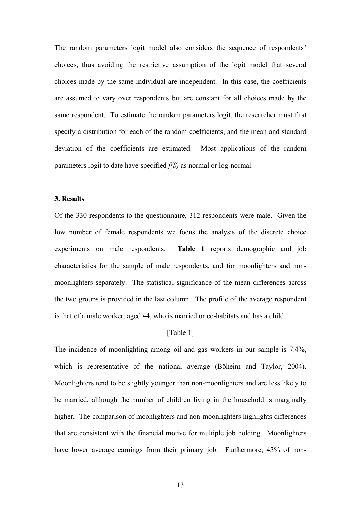The random parameters logit model also considers the sequence of respondents' choices, thus avoiding the restrictive assumption of the logit model that several choices made by the same individual are independent. In this case, the coefficients are assumed to vary over respondents but are constant for all choices made by the same respondent. To estimate the random parameters logit, the researcher must first specify a distribution for each of the random coefficients, and the mean and standard deviation of the coefficients are estimated. Most applications of the random parameters logit to date have specified *f(β)* as normal or log-normal.

#### **3. Results**

Of the 330 respondents to the questionnaire, 312 respondents were male. Given the low number of female respondents we focus the analysis of the discrete choice experiments on male respondents. **Table 1** reports demographic and job characteristics for the sample of male respondents, and for moonlighters and nonmoonlighters separately. The statistical significance of the mean differences across the two groups is provided in the last column. The profile of the average respondent is that of a male worker, aged 44, who is married or co-habitats and has a child.

#### [Table 1]

The incidence of moonlighting among oil and gas workers in our sample is 7.4%, which is representative of the national average (Böheim and Taylor, 2004). Moonlighters tend to be slightly younger than non-moonlighters and are less likely to be married, although the number of children living in the household is marginally higher. The comparison of moonlighters and non-moonlighters highlights differences that are consistent with the financial motive for multiple job holding. Moonlighters have lower average earnings from their primary job. Furthermore, 43% of non-

13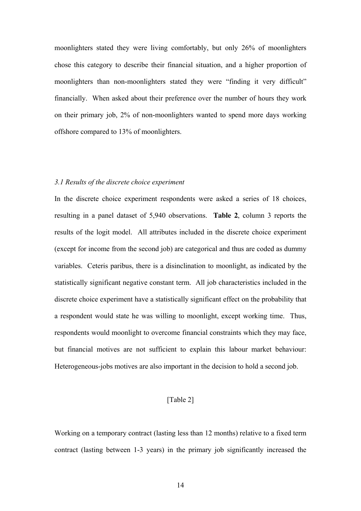moonlighters stated they were living comfortably, but only 26% of moonlighters chose this category to describe their financial situation, and a higher proportion of moonlighters than non-moonlighters stated they were "finding it very difficult" financially. When asked about their preference over the number of hours they work on their primary job, 2% of non-moonlighters wanted to spend more days working offshore compared to 13% of moonlighters.

#### *3.1 Results of the discrete choice experiment*

In the discrete choice experiment respondents were asked a series of 18 choices, resulting in a panel dataset of 5,940 observations. **Table 2**, column 3 reports the results of the logit model. All attributes included in the discrete choice experiment (except for income from the second job) are categorical and thus are coded as dummy variables. Ceteris paribus, there is a disinclination to moonlight, as indicated by the statistically significant negative constant term. All job characteristics included in the discrete choice experiment have a statistically significant effect on the probability that a respondent would state he was willing to moonlight, except working time. Thus, respondents would moonlight to overcome financial constraints which they may face, but financial motives are not sufficient to explain this labour market behaviour: Heterogeneous-jobs motives are also important in the decision to hold a second job.

#### [Table 2]

Working on a temporary contract (lasting less than 12 months) relative to a fixed term contract (lasting between 1-3 years) in the primary job significantly increased the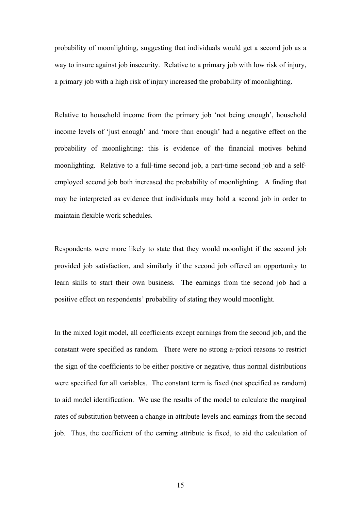probability of moonlighting, suggesting that individuals would get a second job as a way to insure against job insecurity. Relative to a primary job with low risk of injury, a primary job with a high risk of injury increased the probability of moonlighting.

Relative to household income from the primary job 'not being enough', household income levels of 'just enough' and 'more than enough' had a negative effect on the probability of moonlighting: this is evidence of the financial motives behind moonlighting. Relative to a full-time second job, a part-time second job and a selfemployed second job both increased the probability of moonlighting. A finding that may be interpreted as evidence that individuals may hold a second job in order to maintain flexible work schedules.

Respondents were more likely to state that they would moonlight if the second job provided job satisfaction, and similarly if the second job offered an opportunity to learn skills to start their own business. The earnings from the second job had a positive effect on respondents' probability of stating they would moonlight.

In the mixed logit model, all coefficients except earnings from the second job, and the constant were specified as random. There were no strong a-priori reasons to restrict the sign of the coefficients to be either positive or negative, thus normal distributions were specified for all variables. The constant term is fixed (not specified as random) to aid model identification. We use the results of the model to calculate the marginal rates of substitution between a change in attribute levels and earnings from the second job. Thus, the coefficient of the earning attribute is fixed, to aid the calculation of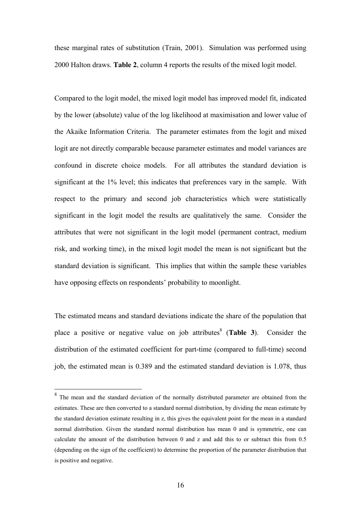these marginal rates of substitution (Train, 2001). Simulation was performed using 2000 Halton draws. **Table 2**, column 4 reports the results of the mixed logit model.

Compared to the logit model, the mixed logit model has improved model fit, indicated by the lower (absolute) value of the log likelihood at maximisation and lower value of the Akaike Information Criteria. The parameter estimates from the logit and mixed logit are not directly comparable because parameter estimates and model variances are confound in discrete choice models. For all attributes the standard deviation is significant at the 1% level; this indicates that preferences vary in the sample. With respect to the primary and second job characteristics which were statistically significant in the logit model the results are qualitatively the same. Consider the attributes that were not significant in the logit model (permanent contract, medium risk, and working time), in the mixed logit model the mean is not significant but the standard deviation is significant. This implies that within the sample these variables have opposing effects on respondents' probability to moonlight.

The estimated means and standard deviations indicate the share of the population that place a positive or negative value on job attributes<sup>8</sup> (Table 3). Consider the distribution of the estimated coefficient for part-time (compared to full-time) second job, the estimated mean is 0.389 and the estimated standard deviation is 1.078, thus

<sup>&</sup>lt;sup>8</sup> The mean and the standard deviation of the normally distributed parameter are obtained from the estimates. These are then converted to a standard normal distribution, by dividing the mean estimate by the standard deviation estimate resulting in z, this gives the equivalent point for the mean in a standard normal distribution. Given the standard normal distribution has mean 0 and is symmetric, one can calculate the amount of the distribution between 0 and z and add this to or subtract this from 0.5 (depending on the sign of the coefficient) to determine the proportion of the parameter distribution that is positive and negative.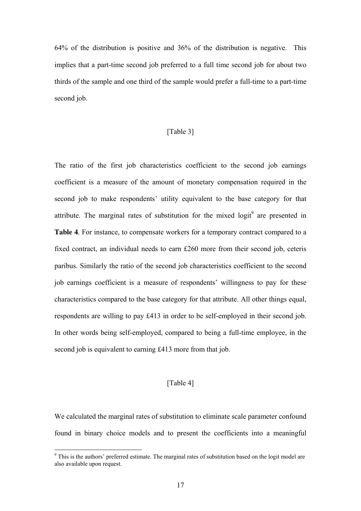64% of the distribution is positive and 36% of the distribution is negative. This implies that a part-time second job preferred to a full time second job for about two thirds of the sample and one third of the sample would prefer a full-time to a part-time second job.

#### [Table 3]

The ratio of the first job characteristics coefficient to the second job earnings coefficient is a measure of the amount of monetary compensation required in the second job to make respondents' utility equivalent to the base category for that attribute. The marginal rates of substitution for the mixed  $logit^9$  are presented in **Table 4**. For instance, to compensate workers for a temporary contract compared to a fixed contract, an individual needs to earn £260 more from their second job, ceteris paribus. Similarly the ratio of the second job characteristics coefficient to the second job earnings coefficient is a measure of respondents' willingness to pay for these characteristics compared to the base category for that attribute. All other things equal, respondents are willing to pay £413 in order to be self-employed in their second job. In other words being self-employed, compared to being a full-time employee, in the second job is equivalent to earning £413 more from that job.

#### [Table 4]

We calculated the marginal rates of substitution to eliminate scale parameter confound found in binary choice models and to present the coefficients into a meaningful

<sup>&</sup>lt;sup>9</sup> This is the authors' preferred estimate. The marginal rates of substitution based on the logit model are also available upon request.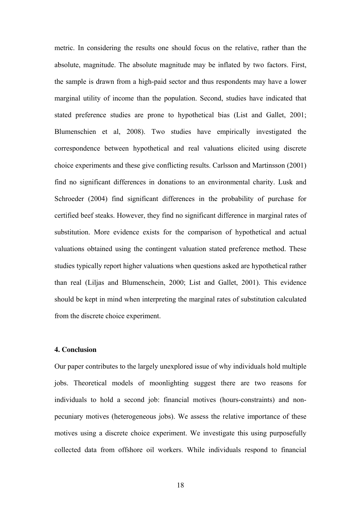metric. In considering the results one should focus on the relative, rather than the absolute, magnitude. The absolute magnitude may be inflated by two factors. First, the sample is drawn from a high-paid sector and thus respondents may have a lower marginal utility of income than the population. Second, studies have indicated that stated preference studies are prone to hypothetical bias (List and Gallet, 2001; Blumenschien et al, 2008). Two studies have empirically investigated the correspondence between hypothetical and real valuations elicited using discrete choice experiments and these give conflicting results. Carlsson and Martinsson (2001) find no significant differences in donations to an environmental charity. Lusk and Schroeder (2004) find significant differences in the probability of purchase for certified beef steaks. However, they find no significant difference in marginal rates of substitution. More evidence exists for the comparison of hypothetical and actual valuations obtained using the contingent valuation stated preference method. These studies typically report higher valuations when questions asked are hypothetical rather than real (Liljas and Blumenschein, 2000; List and Gallet, 2001). This evidence should be kept in mind when interpreting the marginal rates of substitution calculated from the discrete choice experiment.

#### **4. Conclusion**

Our paper contributes to the largely unexplored issue of why individuals hold multiple jobs. Theoretical models of moonlighting suggest there are two reasons for individuals to hold a second job: financial motives (hours-constraints) and nonpecuniary motives (heterogeneous jobs). We assess the relative importance of these motives using a discrete choice experiment. We investigate this using purposefully collected data from offshore oil workers. While individuals respond to financial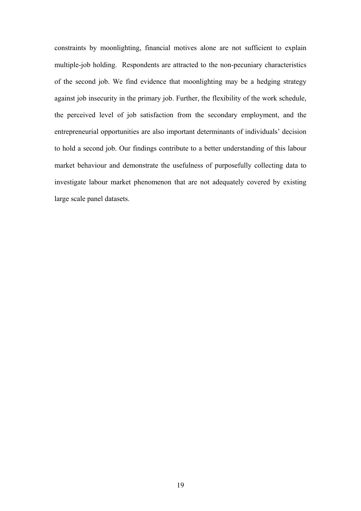constraints by moonlighting, financial motives alone are not sufficient to explain multiple-job holding. Respondents are attracted to the non-pecuniary characteristics of the second job. We find evidence that moonlighting may be a hedging strategy against job insecurity in the primary job. Further, the flexibility of the work schedule, the perceived level of job satisfaction from the secondary employment, and the entrepreneurial opportunities are also important determinants of individuals' decision to hold a second job. Our findings contribute to a better understanding of this labour market behaviour and demonstrate the usefulness of purposefully collecting data to investigate labour market phenomenon that are not adequately covered by existing large scale panel datasets.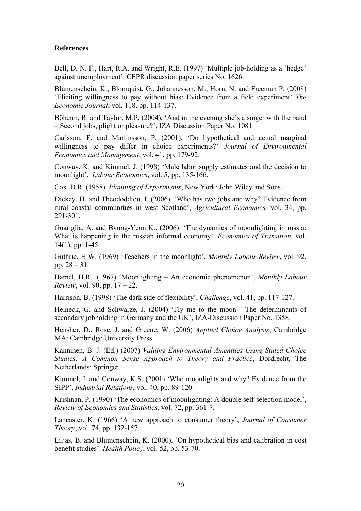#### **References**

Bell, D. N. F., Hart, R.A. and Wright, R.E. (1997) 'Multiple job-holding as a 'hedge' against unemployment', CEPR discussion paper series No. 1626.

Blumenschein, K., Blomquist, G., Johannesson, M., Horn, N. and Freeman P. (2008) 'Eliciting willingness to pay without bias: Evidence from a field experiment' *The Economic Journal*, vol. 118, pp. 114-137.

Böheim, R. and Taylor, M.P. (2004), 'And in the evening she's a singer with the band – Second jobs, plight or pleasure?', IZA Discussion Paper No. 1081.

Carlsson, F. and Martinsson, P. (2001). 'Do hypothetical and actual marginal willingness to pay differ in choice experiments?' *Journal of Environmental Economics and Management*, vol. 41, pp. 179-92.

Conway, K. and Kimmel, J. (1998) 'Male labor supply estimates and the decision to moonlight', *Labour Economics*, vol. 5, pp. 135-166.

Cox, D.R. (1958). *Planning of Experiments*, New York: John Wiley and Sons.

Dickey, H. and Theododdiou, I. (2006). 'Who has two jobs and why? Evidence from rural coastal communities in west Scotland', *Agricultural Economics,* vol. 34, pp. 291-301.

Guariglia, A. and Byung-Yeon K., (2006). 'The dynamics of moonlighting in russia: What is happening in the russian informal economy'. *Economics of Transition*. vol. 14(1), pp. 1-45.

Guthrie, H.W. (1969) 'Teachers in the moonlight', *Monthly Labour Review*, vol. 92, pp. 28 – 31.

Hamel, H.R.. (1967) 'Moonlighting – An economic phenomenon', *Monthly Labour Review*, vol. 90, pp. 17 – 22.

Harrison, B. (1998) 'The dark side of flexibility', *Challenge*, vol. 41, pp. 117-127.

Heineck, G. and Schwarze, J. (2004) 'Fly me to the moon - The determinants of secondary jobholding in Germany and the UK', IZA-Discussion Paper No. 1358.

Hensher, D., Rose, J. and Greene, W. (2006) *Applied Choice Analysis*, Cambridge MA: Cambridge University Press.

Kanninen, B. J. (Ed.) (2007) *Valuing Environmental Amenities Using Stated Choice Studies: A Common Sense Approach to Theory and Practice*, Dordrecht, The Netherlands: Springer.

Kimmel, J. and Conway, K.S. (2001) 'Who moonlights and why? Evidence from the SIPP', *Industrial Relations*, vol. 40, pp. 89-120.

Krishnan, P. (1990) 'The economics of moonlighting: A double self-selection model', *Review of Economics and Statistics*, vol. 72, pp. 361-7.

Lancaster, K. (1966) 'A new approach to consumer theory', *Journal of Consumer Theory*, vol. 74, pp. 132-157.

Liljas, B. and Blumenschein, K. (2000). 'On hypothetical bias and calibration in cost benefit studies'. *Health Policy*, vol. 52, pp. 53-70.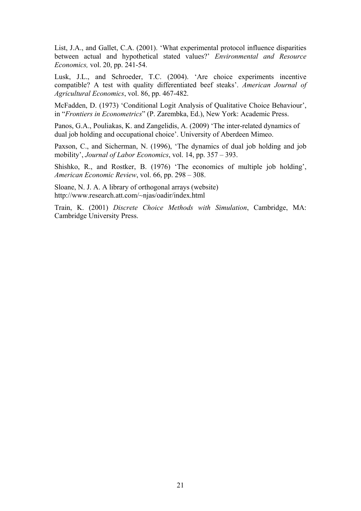List, J.A., and Gallet, C.A. (2001). 'What experimental protocol influence disparities between actual and hypothetical stated values?' *Environmental and Resource Economics,* vol. 20, pp. 241-54.

Lusk, J.L., and Schroeder, T.C. (2004). 'Are choice experiments incentive compatible? A test with quality differentiated beef steaks'. *American Journal of Agricultural Economics*, vol. 86, pp. 467-482.

McFadden, D. (1973) 'Conditional Logit Analysis of Qualitative Choice Behaviour', in "*Frontiers in Econometrics*" (P. Zarembka, Ed.), New York: Academic Press.

Panos, G.A., Pouliakas, K. and Zangelidis, A. (2009) 'The inter-related dynamics of dual job holding and occupational choice'. University of Aberdeen Mimeo.

Paxson, C., and Sicherman, N. (1996), 'The dynamics of dual job holding and job mobility', *Journal of Labor Economics*, vol. 14, pp. 357 – 393.

Shishko, R., and Rostker, B. (1976) 'The economics of multiple job holding', *American Economic Review*, vol. 66, pp. 298 – 308.

Sloane, N. J. A. A library of orthogonal arrays (website) http://www.research.att.com/~njas/oadir/index.html

Train, K. (2001) *Discrete Choice Methods with Simulation*, Cambridge, MA: Cambridge University Press.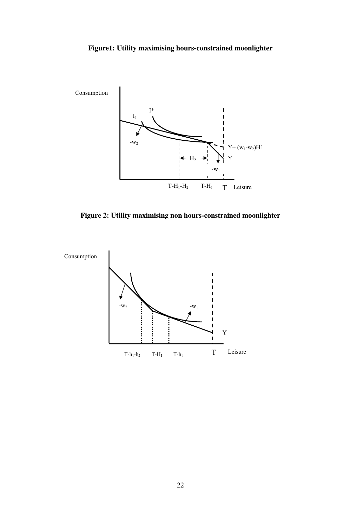# **Figure1: Utility maximising hours-constrained moonlighter**



**Figure 2: Utility maximising non hours-constrained moonlighter** 

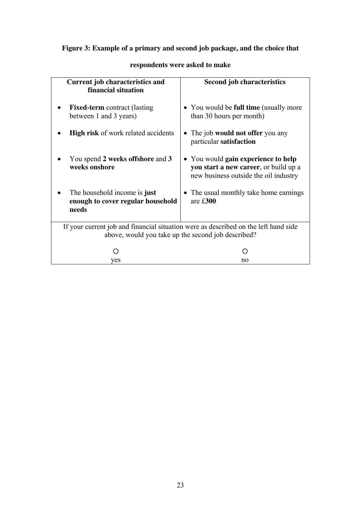# **Figure 3: Example of a primary and second job package, and the choice that**

| <b>Current job characteristics and</b><br>financial situation                       | <b>Second job characteristics</b>                                                                                     |  |  |  |  |
|-------------------------------------------------------------------------------------|-----------------------------------------------------------------------------------------------------------------------|--|--|--|--|
| <b>Fixed-term</b> contract (lasting<br>between 1 and 3 years)                       | • You would be full time (usually more<br>than 30 hours per month)                                                    |  |  |  |  |
| High risk of work related accidents                                                 | The job <b>would not offer</b> you any<br>particular satisfaction                                                     |  |  |  |  |
| You spend 2 weeks offshore and 3<br>weeks onshore                                   | • You would gain experience to help<br>you start a new career, or build up a<br>new business outside the oil industry |  |  |  |  |
| The household income is just<br>enough to cover regular household<br>needs          | • The usual monthly take home earnings<br>are $£300$                                                                  |  |  |  |  |
| If your current job and financial situation were as described on the left hand side |                                                                                                                       |  |  |  |  |
|                                                                                     | above, would you take up the second job described?                                                                    |  |  |  |  |
|                                                                                     |                                                                                                                       |  |  |  |  |
| ves                                                                                 | no                                                                                                                    |  |  |  |  |

# **respondents were asked to make**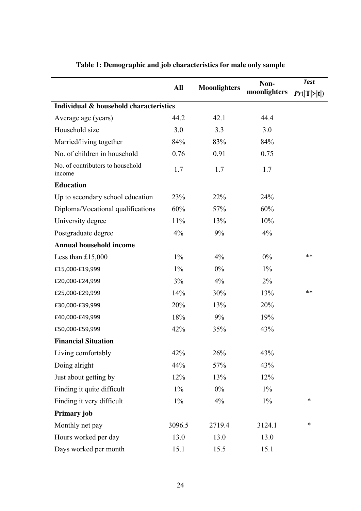|                                            |        |                     | Non-         | <b>Test</b> |
|--------------------------------------------|--------|---------------------|--------------|-------------|
|                                            | All    | <b>Moonlighters</b> | moonlighters | Pr( T > t ) |
| Individual & household characteristics     |        |                     |              |             |
| Average age (years)                        | 44.2   | 42.1                | 44.4         |             |
| Household size                             | 3.0    | 3.3                 | 3.0          |             |
| Married/living together                    | 84%    | 83%                 | 84%          |             |
| No. of children in household               | 0.76   | 0.91                | 0.75         |             |
| No. of contributors to household<br>income | 1.7    | 1.7                 | 1.7          |             |
| <b>Education</b>                           |        |                     |              |             |
| Up to secondary school education           | 23%    | 22%                 | 24%          |             |
| Diploma/Vocational qualifications          | 60%    | 57%                 | 60%          |             |
| University degree                          | 11%    | 13%                 | 10%          |             |
| Postgraduate degree                        | 4%     | 9%                  | 4%           |             |
| <b>Annual household income</b>             |        |                     |              |             |
| Less than $£15,000$                        | $1\%$  | 4%                  | $0\%$        | **          |
| £15,000-£19,999                            | $1\%$  | $0\%$               | $1\%$        |             |
| £20,000-£24,999                            | 3%     | $4\%$               | $2\%$        |             |
| £25,000-£29,999                            | 14%    | 30%                 | 13%          | **          |
| £30,000-£39,999                            | 20%    | 13%                 | 20%          |             |
| £40,000-£49,999                            | 18%    | 9%                  | 19%          |             |
| £50,000-£59,999                            | 42%    | 35%                 | 43%          |             |
| <b>Financial Situation</b>                 |        |                     |              |             |
| Living comfortably                         | 42%    | 26%                 | 43%          |             |
| Doing alright                              | 44%    | 57%                 | 43%          |             |
| Just about getting by                      | 12%    | 13%                 | 12%          |             |
| Finding it quite difficult                 | $1\%$  | $0\%$               | $1\%$        |             |
| Finding it very difficult                  | $1\%$  | $4\%$               | $1\%$        | $\ast$      |
| Primary job                                |        |                     |              |             |
| Monthly net pay                            | 3096.5 | 2719.4              | 3124.1       | $\ast$      |
| Hours worked per day                       | 13.0   | 13.0                | 13.0         |             |
| Days worked per month                      | 15.1   | 15.5                | 15.1         |             |

# **Table 1: Demographic and job characteristics for male only sample**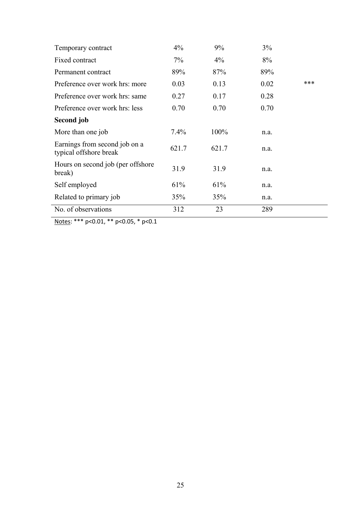| Temporary contract                                      | $4\%$   | 9%    | 3%   |     |
|---------------------------------------------------------|---------|-------|------|-----|
| Fixed contract                                          | $7\%$   | $4\%$ | 8%   |     |
| Permanent contract                                      | 89%     | 87%   | 89%  |     |
| Preference over work hrs: more                          | 0.03    | 0.13  | 0.02 | *** |
| Preference over work hrs: same                          | 0.27    | 0.17  | 0.28 |     |
| Preference over work hrs: less                          | 0.70    | 0.70  | 0.70 |     |
| Second job                                              |         |       |      |     |
| More than one job                                       | $7.4\%$ | 100%  | n.a. |     |
| Earnings from second job on a<br>typical offshore break | 621.7   | 621.7 | n.a. |     |
| Hours on second job (per offshore)<br>break)            | 31.9    | 31.9  | n.a. |     |
| Self employed                                           | 61%     | 61%   | n.a. |     |
| Related to primary job                                  | 35%     | 35%   | n.a. |     |
| No. of observations                                     | 312     | 23    | 289  |     |

Notes: \*\*\* p<0.01, \*\* p<0.05, \* p<0.1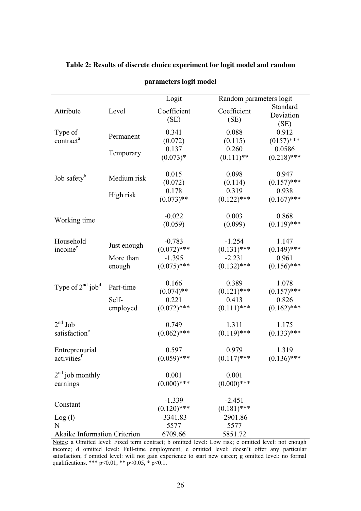|                                     |             | Logit               | Random parameters logit |                               |
|-------------------------------------|-------------|---------------------|-------------------------|-------------------------------|
| Attribute                           | Level       | Coefficient<br>(SE) | Coefficient<br>(SE)     | Standard<br>Deviation<br>(SE) |
| Type of                             |             | 0.341               | 0.088                   | 0.912                         |
| contract <sup>a</sup>               | Permanent   | (0.072)             | (0.115)                 | $(0157)$ ***                  |
|                                     | Temporary   | 0.137               | 0.260                   | 0.0586                        |
|                                     |             | $(0.073)*$          | $(0.111)$ **            | $(0.218)$ ***                 |
|                                     |             | 0.015               | 0.098                   | 0.947                         |
| Job safety <sup>b</sup>             | Medium risk | (0.072)             | (0.114)                 | $(0.157)$ ***                 |
|                                     |             | 0.178               | 0.319                   | 0.938                         |
|                                     | High risk   | $(0.073)$ **        | $(0.122)$ ***           | $(0.167)$ ***                 |
|                                     |             | $-0.022$            | 0.003                   | 0.868                         |
| Working time                        |             | (0.059)             | (0.099)                 | $(0.119)$ ***                 |
| Household                           |             | $-0.783$            | $-1.254$                | 1.147                         |
| income <sup>c</sup>                 | Just enough | $(0.072)$ ***       | $(0.131)$ ***           | $(0.149)$ ***                 |
|                                     | More than   | $-1.395$            | $-2.231$                | 0.961                         |
|                                     | enough      | $(0.075)$ ***       | $(0.132)$ ***           | $(0.156)$ ***                 |
|                                     |             | 0.166               | 0.389                   | 1.078                         |
| Type of $2nd$ job <sup>d</sup>      | Part-time   | $(0.074)$ **        | $(0.121)$ ***           | $(0.157)$ ***                 |
|                                     | Self-       | 0.221               | 0.413                   | 0.826                         |
|                                     | employed    | $(0.072)$ ***       | $(0.111)$ ***           | $(0.162)$ ***                 |
| $2nd$ Job                           |             | 0.749               | 1.311                   | 1.175                         |
| satisfaction <sup>e</sup>           |             | $(0.062)$ ***       | $(0.119)$ ***           | $(0.133)$ ***                 |
| Entreprenurial                      |             | 0.597               | 0.979                   | 1.319                         |
| activities <sup>f</sup>             |             | $(0.059)$ ***       | $(0.117)$ ***           | $(0.136)$ ***                 |
| $2nd$ job monthly                   |             | 0.001               | 0.001                   |                               |
| earnings                            |             | $(0.000)$ ***       | $(0.000)$ ***           |                               |
|                                     |             | $-1.339$            | $-2.451$                |                               |
| Constant                            |             | $(0.120)$ ***       | $(0.181)$ ***           |                               |
| Log(1)                              |             | $-3341.83$          | $-2901.86$              |                               |
| N                                   |             | 5577                | 5577                    |                               |
| <b>Akaike Information Criterion</b> |             | 6709.66             | 5851.72                 |                               |

**Table 2: Results of discrete choice experiment for logit model and random** 

**parameters logit model** 

Notes: a Omitted level: Fixed term contract; b omitted level: Low risk; c omitted level: not enough income; d omitted level: Full-time employment; e omitted level: doesn't offer any particular satisfaction; f omitted level: will not gain experience to start new career; g omitted level: no formal qualifications. \*\*\*  $p<0.01$ , \*\*  $p<0.05$ , \*  $p<0.1$ .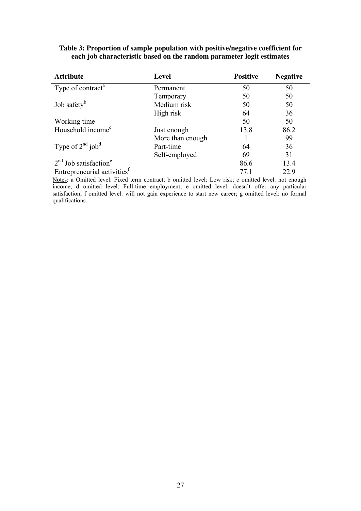| <b>Attribute</b>                        | Level            | <b>Positive</b> | <b>Negative</b> |
|-----------------------------------------|------------------|-----------------|-----------------|
| Type of contract <sup>a</sup>           | Permanent        | 50              | 50              |
|                                         | Temporary        | 50              | 50              |
| Job safety <sup>b</sup>                 | Medium risk      | 50              | 50              |
|                                         | High risk        | 64              | 36              |
| Working time                            |                  | 50              | 50              |
| Household income <sup>c</sup>           | Just enough      | 13.8            | 86.2            |
|                                         | More than enough |                 | 99              |
| Type of $2^{nd}$ job <sup>d</sup>       | Part-time        | 64              | 36              |
|                                         | Self-employed    | 69              | 31              |
| $2nd$ Job satisfaction <sup>e</sup>     |                  | 86.6            | 13.4            |
| Entrepreneurial activities <sup>†</sup> |                  | 77.1            | 22.9            |

#### **Table 3: Proportion of sample population with positive/negative coefficient for each job characteristic based on the random parameter logit estimates**

Notes: a Omitted level: Fixed term contract; b omitted level: Low risk; c omitted level: not enough income; d omitted level: Full-time employment; e omitted level: doesn't offer any particular satisfaction; f omitted level: will not gain experience to start new career; g omitted level: no formal qualifications.